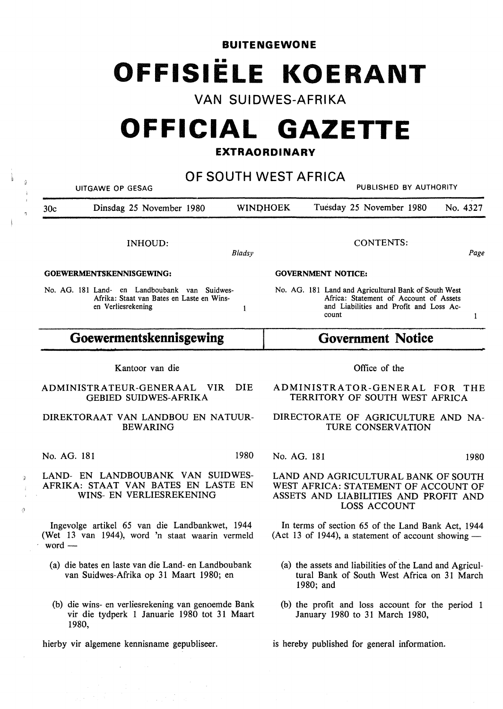**BUITENGEWONE**  •• **OFFISIELE KOERANT** 

**VAN SUIDWES-AFRIKA** 

# **OFFICIAL GAZETTE**

# **EXTRAORDINARY**

**OF SOUTH WEST AFRICA**  UITGAWE OP GESAG PUBLISHED BY AUTHORITY 30c Dinsdag 25 November 1980 WINOHOEK Tuesday 25 November 1980 No. 4327 CONTENTS: INHOUD: *Bladsy Page*  **GOEWERMENTSKENNISGEWING: GOVERNMENT NOTICE:**  No. AG. 181 Land- en Landboubank van Suidwes-No. AG. 181 Land and Agricultural Bank of South West Afrika: Staat van Bates en Laste en Wins-Africa: Statement of Account of Assets en Verliesrekening and Liabilities and Profit and Loss Ac- $\mathbf{1}$ count  $\mathbf{1}$ **Goewermentskennisgewing Government Notice**  Kantoor van die Office of the ADMINISTRATEUR-GENERAAL VIR DIE ADMINISTRATOR-GENERAL FOR THE GEBIED SUIDWES-AFRIKA TERRITORY OF SOUTH WEST AFRICA DIREKTORAAT VAN LANDBOU EN NATUUR-DIRECTORATE OF AGRICULTURE AND NA-BEWARING TURE CONSERVATION No. AG. 181 1980 No. AG. 181 1980 LAND- EN LANDBOUBANK VAN SUIDWES-LAND AND AGRICULTURAL BANK OF SOUTH WEST AFRICA: STATEMENT OF ACCOUNT OF **WINS-** EN VERLIESREKENING ASSETS AND LIABILITIES AND PROFIT AND LOSS ACCOUNT In terms of section 65 of the Land Bank Act, 1944 (Act 13 of 1944), a statement of account showing  $-$ (a) die bates en laste van die Land- en Landboubank (a) the assets and liabilities of the Land and Agriculvan Suidwes-Afrika op 31 Maart 1980; en tural Bank of South West Africa on 31 March 1980; and (b) die wins- en verliesrekening van genoemde Bank (b) the profit and loss account for the period 1 vir die tydperk 1 Januarie 1980 tot 31 Maart January 1980 to 31 March 1980,

is hereby published for general information.

ä

ð

AFRIKA: STAAT VAN BATES EN LASTE EN

lngevolge artikel 65 van die Landbankwet, 194.4 (Wet 13 van 1944), word 'n staat waarin vermeld word —

- 
- 1980,

hierby vir algemene kennisname gepubliseer.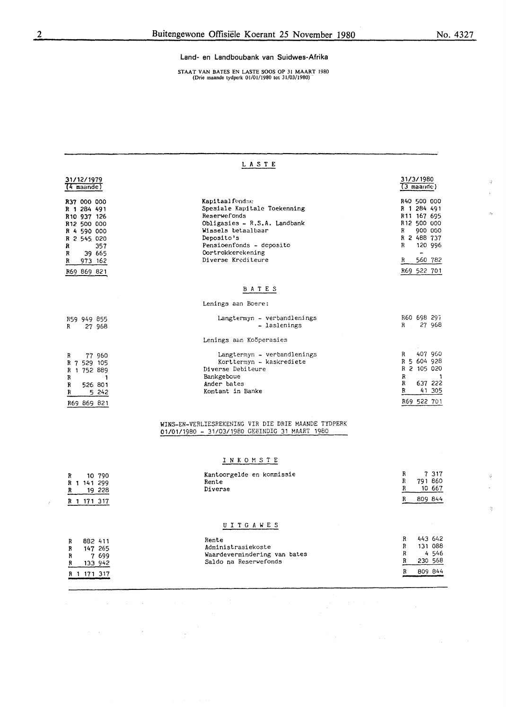$\hat{\mathbf{Q}}$ 

 $\mathcal{A}$ 

ó

ġ

#### Land- en Landboubank van Suidwes-Afrika

STAAT VAN BATES EN LASTE SOOS OP 31 MAART 1980 (Drie maande tydperk 01/01/1980 tot 31/03/1980).

| LASTE                                                                                                                                            |                                                                                                                                                                                                           |                                                                                                                                                                |  |  |  |  |  |
|--------------------------------------------------------------------------------------------------------------------------------------------------|-----------------------------------------------------------------------------------------------------------------------------------------------------------------------------------------------------------|----------------------------------------------------------------------------------------------------------------------------------------------------------------|--|--|--|--|--|
| 31/12/1979<br>$(4$ maande)                                                                                                                       |                                                                                                                                                                                                           | 31/3/1980<br>$(3$ maande)                                                                                                                                      |  |  |  |  |  |
| R37 000 000<br>R 1 284 491<br>R10 937 126<br>R12 500 000<br>R 4 590 000<br>R 2 545 020<br>357<br>R<br>39 665<br>R<br>R<br>973 162<br>R69 869 821 | Kapitaalfondse<br>Spesiale Kapitale Toekenning<br>Reserwefonds<br>Obligasies - R.S.A. Landbank<br>Wissels betaalbaar<br>Deposito's<br>Pensioenfonds - deposito<br>Oortrokkerekening<br>Diverse Krediteure | R40 500 000<br>R 1 284 491<br>R <sub>11</sub> 167 695<br>R <sub>12</sub> 500 000<br>900 000<br>R<br>R 2 488 737<br>R<br>120 996<br>560 782<br>R<br>R69 522 701 |  |  |  |  |  |
| BATES                                                                                                                                            |                                                                                                                                                                                                           |                                                                                                                                                                |  |  |  |  |  |
|                                                                                                                                                  | Lenings aan Boere:                                                                                                                                                                                        |                                                                                                                                                                |  |  |  |  |  |
| R59 949 855<br>27 968<br>R                                                                                                                       | Langtermyn - verbandlenings<br>- laslenings                                                                                                                                                               | R60 698 297<br>27 968<br>R                                                                                                                                     |  |  |  |  |  |
|                                                                                                                                                  | Lenings aan Kooperasies                                                                                                                                                                                   |                                                                                                                                                                |  |  |  |  |  |
| 77 960<br>R<br>R 7 529 105<br>R 1 752 889<br>R<br>1<br>R<br>526 801<br>R<br>5 242<br>R69 869 821                                                 | Langtermyn - verbandlenings<br>Korttermyn - kaskrediete<br>Diverse Debiteure<br>Bankgeboue<br>Ander bates<br>Kontant in Banke                                                                             | 407 960<br>R<br>R 5 604 928<br>R 2 105 020<br>$\mathbb{R}$<br>-1<br>637 222<br>R<br>R<br>41 305<br>R69 522 701                                                 |  |  |  |  |  |
|                                                                                                                                                  | WINS-EN-VERLIESREKENING VIR DIE DRIE MAANDE TYDPERK<br>01/01/1980 - 31/03/1980 GEEINDIG 31 MAART 1980                                                                                                     |                                                                                                                                                                |  |  |  |  |  |
|                                                                                                                                                  | INKOMSTE                                                                                                                                                                                                  |                                                                                                                                                                |  |  |  |  |  |
| 10 790<br>R<br>R 1 141 299<br>19 228<br>R<br>R 1 171 317                                                                                         | Kantoorgelde en kommissie<br>Rente<br>Diverse                                                                                                                                                             | 7 317<br>R<br>R<br>791 860<br>R<br>10 667<br>809 844<br>R                                                                                                      |  |  |  |  |  |
|                                                                                                                                                  | UITGAWES                                                                                                                                                                                                  |                                                                                                                                                                |  |  |  |  |  |
| 882 411<br>R<br>147 265<br>R<br>R<br>7 699<br>133 942<br>R<br>R 1 171 317                                                                        | Rente<br>Administrasiekoste<br>Waardevermindering van bates<br>Saldo na Reserwefonds                                                                                                                      | R<br>443 642<br>R<br>131 088<br>R<br>4546<br>R<br>230 568<br>809 844<br>R                                                                                      |  |  |  |  |  |

 $\overline{6}$ 

 $\label{eq:2.1} \frac{d\mathbf{r}}{d\mathbf{r}} = \frac{1}{2}\left(\mathbf{r}^2 + \mathbf{r}^2 + \mathbf{r}^2 + \mathbf{r}^2 + \mathbf{r}^2 + \mathbf{r}^2 + \mathbf{r}^2 + \mathbf{r}^2 + \mathbf{r}^2 + \mathbf{r}^2 + \mathbf{r}^2 + \mathbf{r}^2 + \mathbf{r}^2 + \mathbf{r}^2 + \mathbf{r}^2 + \mathbf{r}^2 + \mathbf{r}^2 + \mathbf{r}^2 + \mathbf{r}^2 + \mathbf{r}^2 + \mathbf{$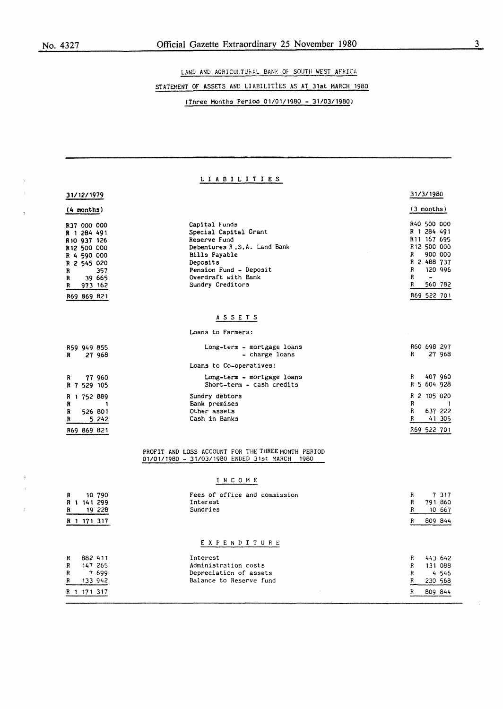LAND AND AGRICULTUFAL BANK OF SOUTH WEST AFRICA

# STATEMENT OF ASSETS AND LIABlLITiES AS AT 31st MARCH 1980

(Three Months Period 01/01/1980 - 31/03/1980)

## L I A B I L I T I E S

# 31/12/1979

| $(4$ months)            |         | (3 months)                  |                         |  |
|-------------------------|---------|-----------------------------|-------------------------|--|
| R37 000 000             |         | Capital Funds               | R40 500 000             |  |
| R 1 284 491             |         | Special Capital Grant       | R 1 284 491             |  |
| R <sub>10</sub> 937 126 |         | Reserve Fund                | R <sub>11</sub> 167 695 |  |
| R12 500 000             |         | Debentures R.S.A. Land Bank | R <sub>12</sub> 500 000 |  |
| R 4 590 000             |         | Bills Payable               | 900 000<br>R            |  |
| R 2 545 020             |         | Deposits                    | R 2 488 737             |  |
| R                       | 357     | Pension Fund - Deposit      | 120 996<br>R            |  |
| R                       | 39 665  | Overdraft with Bank         | R<br>$\bullet$          |  |
| R                       | 973 162 | Sundry Creditors            | 560 782<br>R            |  |
| R69 869 821             |         |                             | R69 522 701             |  |

## **A** S S E T S

Loans to Farmers:

| R           | R59 949 855 | 27 968           | Long-term - mortgage loans<br>- charge loans                     | R           |             | R60 698 297<br>27 968            |
|-------------|-------------|------------------|------------------------------------------------------------------|-------------|-------------|----------------------------------|
|             |             |                  | Loans to Co-operatives:                                          |             |             |                                  |
| R           | R 7 529 105 | 77 960           | Long-term - mortgage loans<br>Short-term - cash credits          | R.          |             | 407 960<br>R 5 604 928           |
| R<br>R<br>R | R 1 752 889 | 526 801<br>5 242 | Sundry debtors<br>Bank premises<br>Other assets<br>Cash in Banks | R<br>R<br>R |             | R 2 105 020<br>637 222<br>41 305 |
|             | R69 869 821 |                  |                                                                  |             | 869 522 701 |                                  |

#### PROFIT AND LOSS ACCOUNT FOR THE THREE MONTH PERIOD 01/01/1980 - 31/03/1980 ENDED 31st MARCH 1980

## I N C O M E

| R<br>10 790<br>141 299<br>R 1<br>19 228<br>R<br>171 317<br>R 1               | Fees of office and commission<br>Interest<br>Sundries                                                | R<br>R<br>R<br>R      | 7 317<br>791 860<br>10 667<br>809 844            |
|------------------------------------------------------------------------------|------------------------------------------------------------------------------------------------------|-----------------------|--------------------------------------------------|
| 882 411<br>R<br>R<br>147 265<br>R<br>7 699<br>133 942<br>R<br>171 317<br>R 1 | EXPENDITURE<br>Interest<br>Administration costs<br>Depreciation of assets<br>Balance to Reserve fund | R<br>R<br>R<br>R<br>R | 443 642<br>131 088<br>4546<br>230 568<br>809 844 |

31/3/1980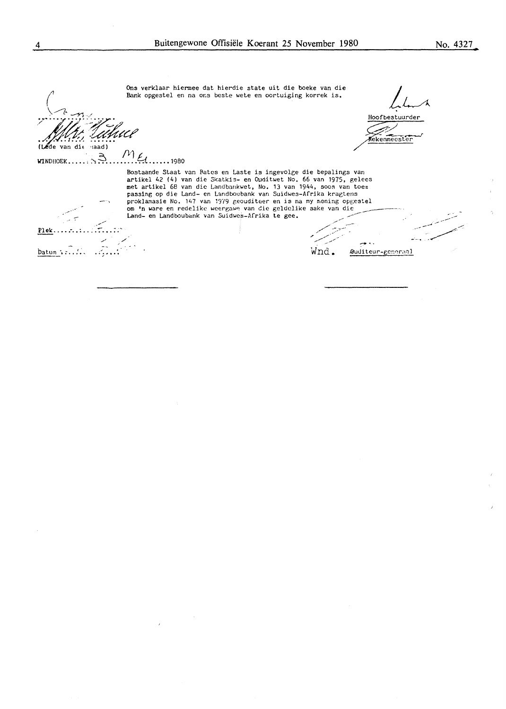Ons verklaar hiennee dat hierdie state uit die boeke van die Bank opgestel en na or.s beste wete en cortuiging korrek is.<br>
Bank opgestel en na or.s beste wete en cortuiging korrek is.

Hoofbestuurder<br>Multi Tuthuce  $(Léde van die maad)$ 

· ~ f1:1 *t*  W'INDIIOEK ••••• , '.': •••••••••• **,0\_ .....** . <sup>1980</sup>

J.

ML<br>Bostaande Staat van Bates en Laste is ingevolge die bepalings van artikel 42 (4) van die Skatkis- en Ouditwet No. 66 van 1975, gelecs met artikel 68 van die Landbankwet, No. 13 van 1944, soos van toe= passing op die Land- en Landboubank van Suidwes-Afrika kragtens<br>proklamasie No. 147 van 1979 geouditeer en is na my mening opgestel<br>om 'n ware en redelike weergawe van die geldelike sake van die<br>Land- en Landboubank van Su

-- J?lelc .•.• • •• ; .... :-••• ; ;· ,/~,, -- ; / - \_,.,,, \_ ..... ✓ --- -~""' . . ~....-: .... -.,.,-~ / / baturn ·, *: •* • , • - Wnd. .OU<.liteur-t,cr:<>r;,::i 1